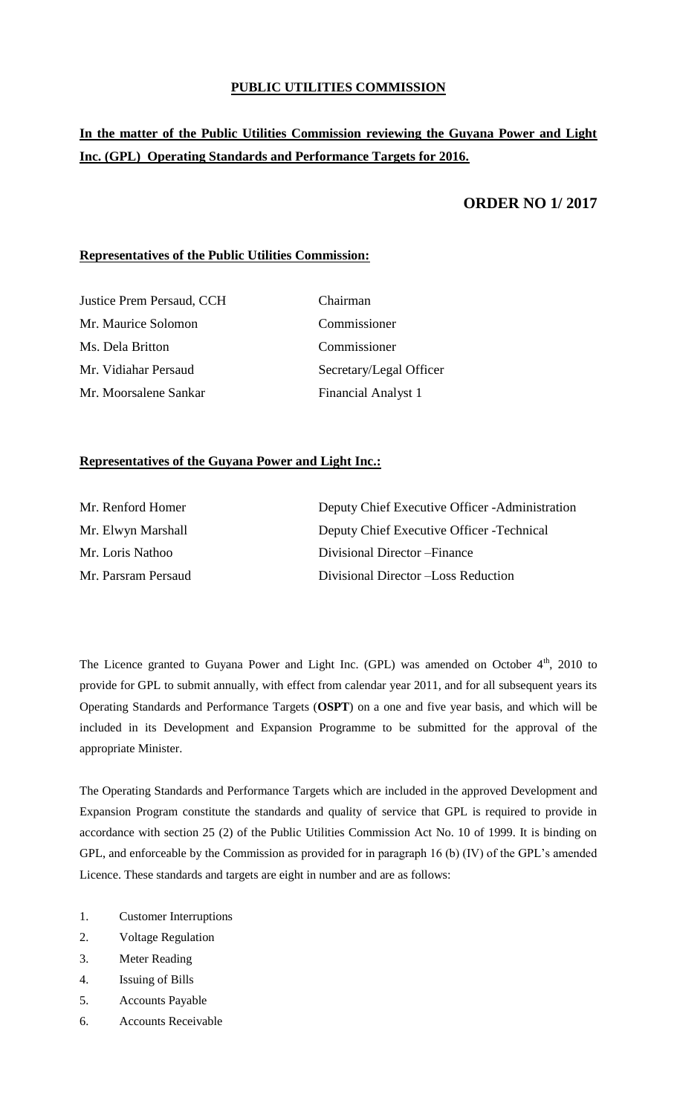# **PUBLIC UTILITIES COMMISSION**

# **In the matter of the Public Utilities Commission reviewing the Guyana Power and Light Inc. (GPL) Operating Standards and Performance Targets for 2016.**

# **ORDER NO 1/ 2017**

# **Representatives of the Public Utilities Commission:**

| <b>Justice Prem Persaud, CCH</b> | Chairman                |
|----------------------------------|-------------------------|
| Mr. Maurice Solomon              | Commissioner            |
| Ms. Dela Britton                 | Commissioner            |
| Mr. Vidiahar Persaud             | Secretary/Legal Officer |
| Mr. Moorsalene Sankar            | Financial Analyst 1     |

# **Representatives of the Guyana Power and Light Inc.:**

| Mr. Renford Homer   | Deputy Chief Executive Officer - Administration |
|---------------------|-------------------------------------------------|
| Mr. Elwyn Marshall  | Deputy Chief Executive Officer - Technical      |
| Mr. Loris Nathoo    | Divisional Director – Finance                   |
| Mr. Parsram Persaud | Divisional Director - Loss Reduction            |

The Licence granted to Guyana Power and Light Inc. (GPL) was amended on October  $4<sup>th</sup>$ , 2010 to provide for GPL to submit annually, with effect from calendar year 2011, and for all subsequent years its Operating Standards and Performance Targets (**OSPT**) on a one and five year basis, and which will be included in its Development and Expansion Programme to be submitted for the approval of the appropriate Minister.

The Operating Standards and Performance Targets which are included in the approved Development and Expansion Program constitute the standards and quality of service that GPL is required to provide in accordance with section 25 (2) of the Public Utilities Commission Act No. 10 of 1999. It is binding on GPL, and enforceable by the Commission as provided for in paragraph 16 (b) (IV) of the GPL's amended Licence. These standards and targets are eight in number and are as follows:

- 1. Customer Interruptions
- 2. Voltage Regulation
- 3. Meter Reading
- 4. Issuing of Bills
- 5. Accounts Payable
- 6. Accounts Receivable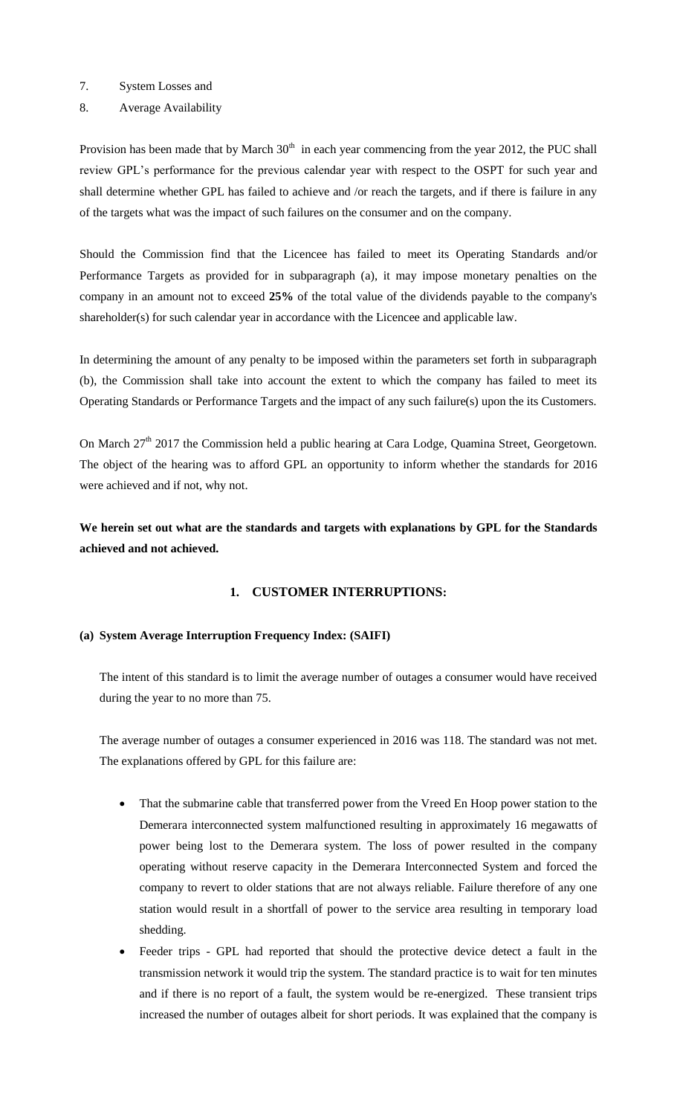- 7. System Losses and
- 8. Average Availability

Provision has been made that by March  $30<sup>th</sup>$  in each year commencing from the year 2012, the PUC shall review GPL's performance for the previous calendar year with respect to the OSPT for such year and shall determine whether GPL has failed to achieve and /or reach the targets, and if there is failure in any of the targets what was the impact of such failures on the consumer and on the company.

Should the Commission find that the Licencee has failed to meet its Operating Standards and/or Performance Targets as provided for in subparagraph (a), it may impose monetary penalties on the company in an amount not to exceed **25%** of the total value of the dividends payable to the company's shareholder(s) for such calendar year in accordance with the Licencee and applicable law.

In determining the amount of any penalty to be imposed within the parameters set forth in subparagraph (b), the Commission shall take into account the extent to which the company has failed to meet its Operating Standards or Performance Targets and the impact of any such failure(s) upon the its Customers.

On March  $27<sup>th</sup>$  2017 the Commission held a public hearing at Cara Lodge, Quamina Street, Georgetown. The object of the hearing was to afford GPL an opportunity to inform whether the standards for 2016 were achieved and if not, why not.

**We herein set out what are the standards and targets with explanations by GPL for the Standards achieved and not achieved.**

# **1. CUSTOMER INTERRUPTIONS:**

# **(a) System Average Interruption Frequency Index: (SAIFI)**

The intent of this standard is to limit the average number of outages a consumer would have received during the year to no more than 75.

The average number of outages a consumer experienced in 2016 was 118. The standard was not met. The explanations offered by GPL for this failure are:

- That the submarine cable that transferred power from the Vreed En Hoop power station to the Demerara interconnected system malfunctioned resulting in approximately 16 megawatts of power being lost to the Demerara system. The loss of power resulted in the company operating without reserve capacity in the Demerara Interconnected System and forced the company to revert to older stations that are not always reliable. Failure therefore of any one station would result in a shortfall of power to the service area resulting in temporary load shedding.
- Feeder trips GPL had reported that should the protective device detect a fault in the transmission network it would trip the system. The standard practice is to wait for ten minutes and if there is no report of a fault, the system would be re-energized. These transient trips increased the number of outages albeit for short periods. It was explained that the company is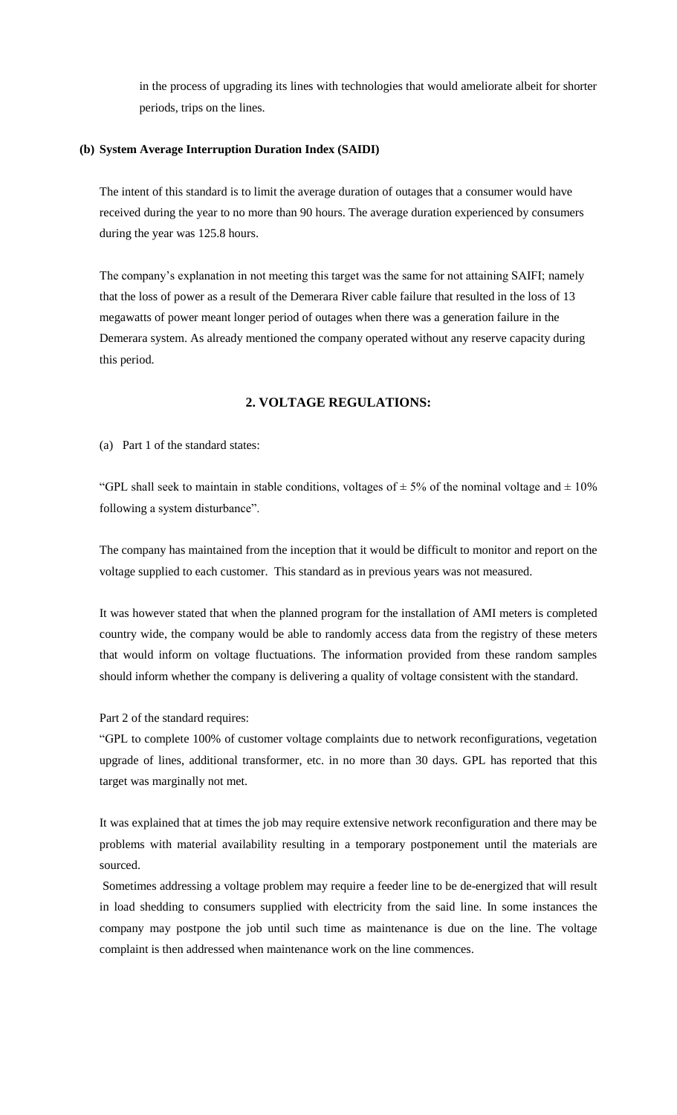in the process of upgrading its lines with technologies that would ameliorate albeit for shorter periods, trips on the lines.

### **(b) System Average Interruption Duration Index (SAIDI)**

The intent of this standard is to limit the average duration of outages that a consumer would have received during the year to no more than 90 hours. The average duration experienced by consumers during the year was 125.8 hours.

The company's explanation in not meeting this target was the same for not attaining SAIFI; namely that the loss of power as a result of the Demerara River cable failure that resulted in the loss of 13 megawatts of power meant longer period of outages when there was a generation failure in the Demerara system. As already mentioned the company operated without any reserve capacity during this period.

# **2. VOLTAGE REGULATIONS:**

(a) Part 1 of the standard states:

"GPL shall seek to maintain in stable conditions, voltages of  $\pm$  5% of the nominal voltage and  $\pm$  10% following a system disturbance".

The company has maintained from the inception that it would be difficult to monitor and report on the voltage supplied to each customer. This standard as in previous years was not measured.

It was however stated that when the planned program for the installation of AMI meters is completed country wide, the company would be able to randomly access data from the registry of these meters that would inform on voltage fluctuations. The information provided from these random samples should inform whether the company is delivering a quality of voltage consistent with the standard.

Part 2 of the standard requires:

"GPL to complete 100% of customer voltage complaints due to network reconfigurations, vegetation upgrade of lines, additional transformer, etc. in no more than 30 days. GPL has reported that this target was marginally not met.

It was explained that at times the job may require extensive network reconfiguration and there may be problems with material availability resulting in a temporary postponement until the materials are sourced.

Sometimes addressing a voltage problem may require a feeder line to be de-energized that will result in load shedding to consumers supplied with electricity from the said line. In some instances the company may postpone the job until such time as maintenance is due on the line. The voltage complaint is then addressed when maintenance work on the line commences.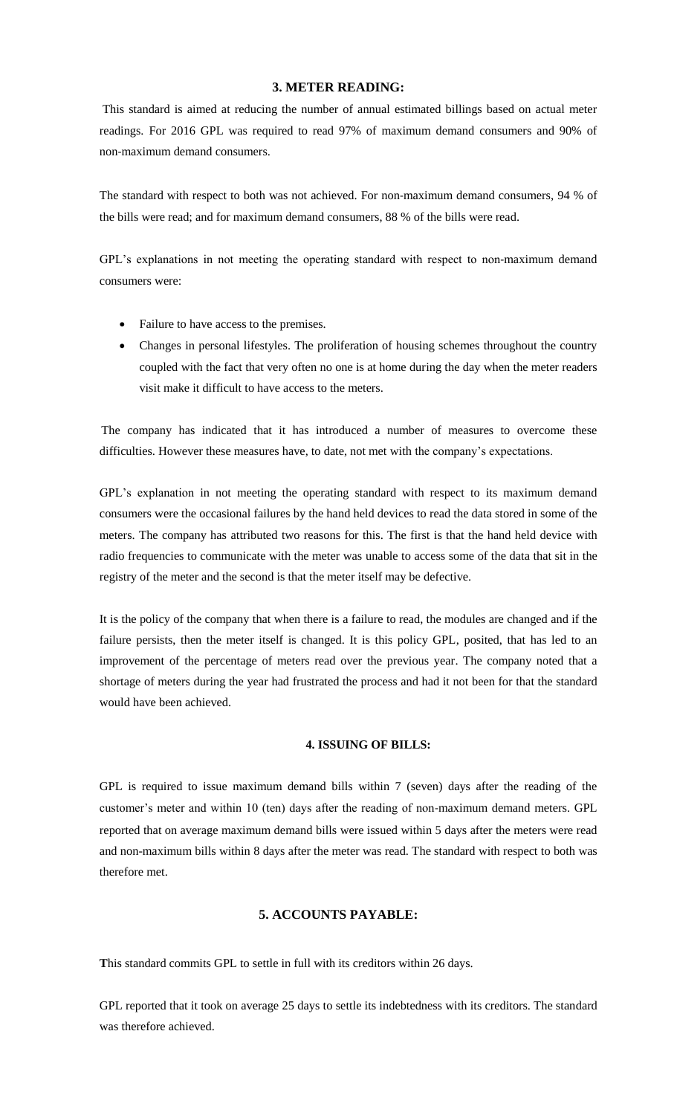# **3. METER READING:**

This standard is aimed at reducing the number of annual estimated billings based on actual meter readings. For 2016 GPL was required to read 97% of maximum demand consumers and 90% of non‐maximum demand consumers.

The standard with respect to both was not achieved. For non-maximum demand consumers, 94 % of the bills were read; and for maximum demand consumers, 88 % of the bills were read.

GPL's explanations in not meeting the operating standard with respect to non-maximum demand consumers were:

- Failure to have access to the premises.
- Changes in personal lifestyles. The proliferation of housing schemes throughout the country coupled with the fact that very often no one is at home during the day when the meter readers visit make it difficult to have access to the meters.

The company has indicated that it has introduced a number of measures to overcome these difficulties. However these measures have, to date, not met with the company's expectations.

GPL's explanation in not meeting the operating standard with respect to its maximum demand consumers were the occasional failures by the hand held devices to read the data stored in some of the meters. The company has attributed two reasons for this. The first is that the hand held device with radio frequencies to communicate with the meter was unable to access some of the data that sit in the registry of the meter and the second is that the meter itself may be defective.

It is the policy of the company that when there is a failure to read, the modules are changed and if the failure persists, then the meter itself is changed. It is this policy GPL, posited, that has led to an improvement of the percentage of meters read over the previous year. The company noted that a shortage of meters during the year had frustrated the process and had it not been for that the standard would have been achieved.

# **4. ISSUING OF BILLS:**

GPL is required to issue maximum demand bills within 7 (seven) days after the reading of the customer's meter and within 10 (ten) days after the reading of non-maximum demand meters. GPL reported that on average maximum demand bills were issued within 5 days after the meters were read and non-maximum bills within 8 days after the meter was read. The standard with respect to both was therefore met.

# **5. ACCOUNTS PAYABLE:**

**T**his standard commits GPL to settle in full with its creditors within 26 days.

GPL reported that it took on average 25 days to settle its indebtedness with its creditors. The standard was therefore achieved.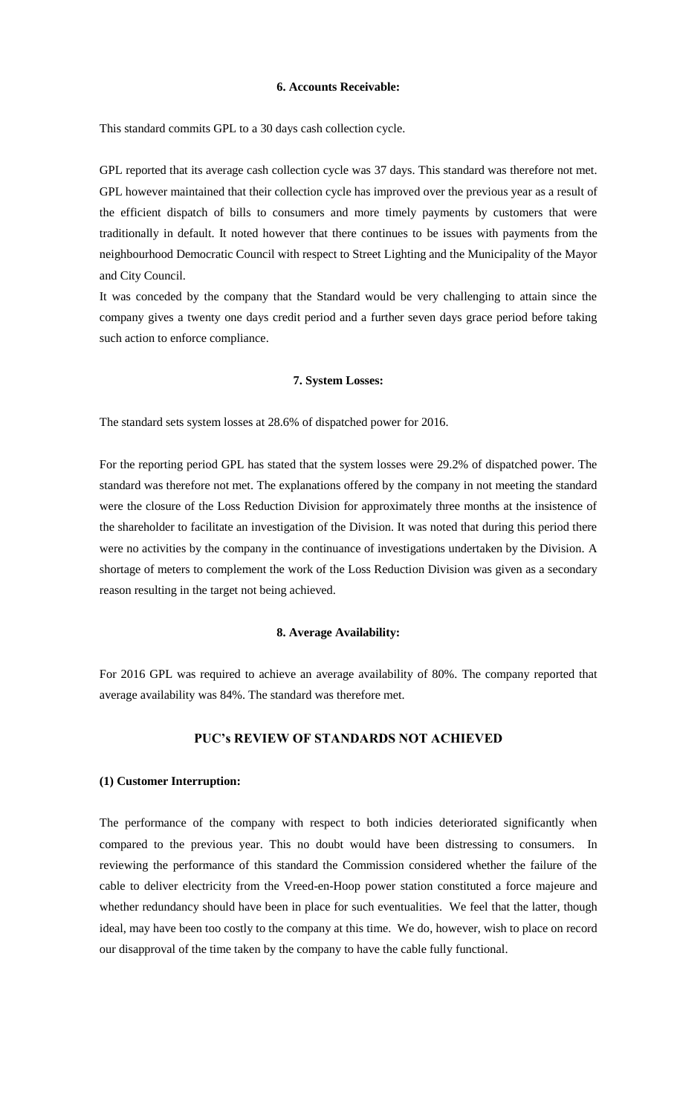### **6. Accounts Receivable:**

This standard commits GPL to a 30 days cash collection cycle.

GPL reported that its average cash collection cycle was 37 days. This standard was therefore not met. GPL however maintained that their collection cycle has improved over the previous year as a result of the efficient dispatch of bills to consumers and more timely payments by customers that were traditionally in default. It noted however that there continues to be issues with payments from the neighbourhood Democratic Council with respect to Street Lighting and the Municipality of the Mayor and City Council.

It was conceded by the company that the Standard would be very challenging to attain since the company gives a twenty one days credit period and a further seven days grace period before taking such action to enforce compliance.

#### **7. System Losses:**

The standard sets system losses at 28.6% of dispatched power for 2016.

For the reporting period GPL has stated that the system losses were 29.2% of dispatched power. The standard was therefore not met. The explanations offered by the company in not meeting the standard were the closure of the Loss Reduction Division for approximately three months at the insistence of the shareholder to facilitate an investigation of the Division. It was noted that during this period there were no activities by the company in the continuance of investigations undertaken by the Division. A shortage of meters to complement the work of the Loss Reduction Division was given as a secondary reason resulting in the target not being achieved.

#### **8. Average Availability:**

For 2016 GPL was required to achieve an average availability of 80%. The company reported that average availability was 84%. The standard was therefore met.

# **PUC's REVIEW OF STANDARDS NOT ACHIEVED**

#### **(1) Customer Interruption:**

The performance of the company with respect to both indicies deteriorated significantly when compared to the previous year. This no doubt would have been distressing to consumers. In reviewing the performance of this standard the Commission considered whether the failure of the cable to deliver electricity from the Vreed-en-Hoop power station constituted a force majeure and whether redundancy should have been in place for such eventualities. We feel that the latter, though ideal, may have been too costly to the company at this time. We do, however, wish to place on record our disapproval of the time taken by the company to have the cable fully functional.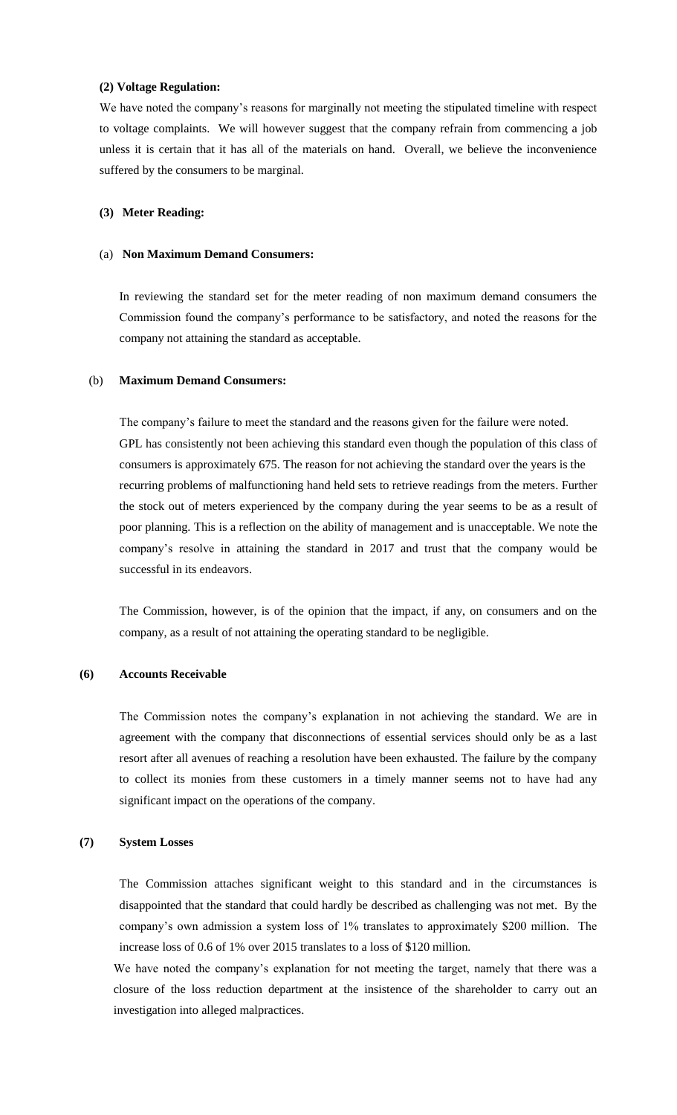### **(2) Voltage Regulation:**

We have noted the company's reasons for marginally not meeting the stipulated timeline with respect to voltage complaints. We will however suggest that the company refrain from commencing a job unless it is certain that it has all of the materials on hand. Overall, we believe the inconvenience suffered by the consumers to be marginal.

### **(3) Meter Reading:**

#### (a) **Non Maximum Demand Consumers:**

In reviewing the standard set for the meter reading of non maximum demand consumers the Commission found the company's performance to be satisfactory, and noted the reasons for the company not attaining the standard as acceptable.

## (b) **Maximum Demand Consumers:**

The company's failure to meet the standard and the reasons given for the failure were noted. GPL has consistently not been achieving this standard even though the population of this class of consumers is approximately 675. The reason for not achieving the standard over the years is the recurring problems of malfunctioning hand held sets to retrieve readings from the meters. Further the stock out of meters experienced by the company during the year seems to be as a result of poor planning. This is a reflection on the ability of management and is unacceptable. We note the company's resolve in attaining the standard in 2017 and trust that the company would be successful in its endeavors.

The Commission, however, is of the opinion that the impact, if any, on consumers and on the company, as a result of not attaining the operating standard to be negligible.

### **(6) Accounts Receivable**

The Commission notes the company's explanation in not achieving the standard. We are in agreement with the company that disconnections of essential services should only be as a last resort after all avenues of reaching a resolution have been exhausted. The failure by the company to collect its monies from these customers in a timely manner seems not to have had any significant impact on the operations of the company.

### **(7) System Losses**

The Commission attaches significant weight to this standard and in the circumstances is disappointed that the standard that could hardly be described as challenging was not met. By the company's own admission a system loss of 1% translates to approximately \$200 million. The increase loss of 0.6 of 1% over 2015 translates to a loss of \$120 million.

We have noted the company's explanation for not meeting the target, namely that there was a closure of the loss reduction department at the insistence of the shareholder to carry out an investigation into alleged malpractices.